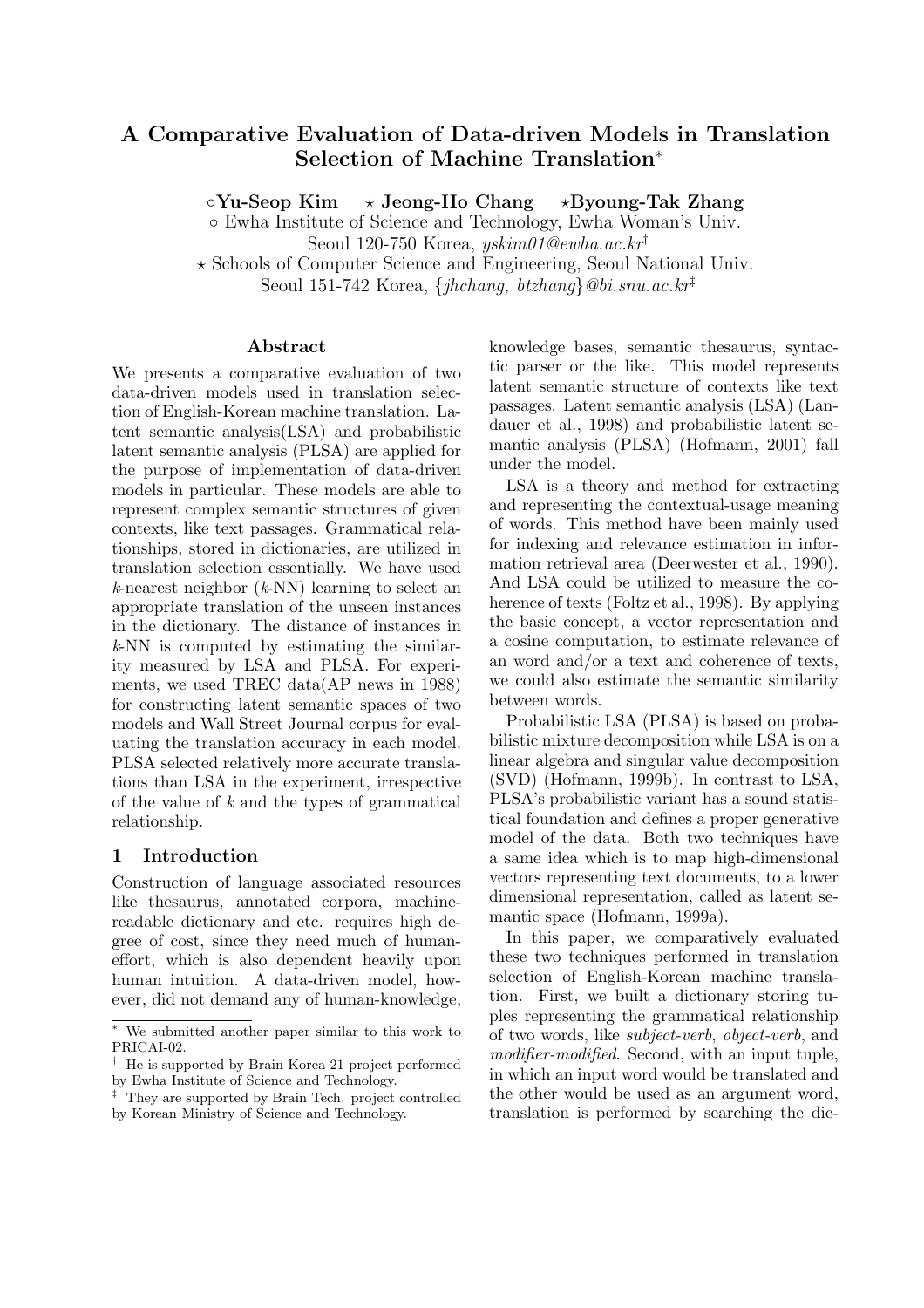# **A Comparative Evaluation of Data-driven Models in Translation Selection of Machine Translation**<sup>∗</sup>

◦**Yu-Seop Kim** - $\star$  Jeong-Ho Chang **Byoung-Tak Zhang**

◦ Ewha Institute of Science and Technology, Ewha Woman's Univ.

Seoul 120-750 Korea, yskim01@ewha.ac.kr†

- Schools of Computer Science and Engineering, Seoul National Univ.

Seoul 151-742 Korea,  $\{jhchang, btzhang\}$ @bi.snu.ac.kr<sup>‡</sup>

### **Abstract**

We presents a comparative evaluation of two data-driven models used in translation selection of English-Korean machine translation. Latent semantic analysis(LSA) and probabilistic latent semantic analysis (PLSA) are applied for the purpose of implementation of data-driven models in particular. These models are able to represent complex semantic structures of given contexts, like text passages. Grammatical relationships, stored in dictionaries, are utilized in translation selection essentially. We have used *k*-nearest neighbor (*k*-NN) learning to select an appropriate translation of the unseen instances in the dictionary. The distance of instances in *k*-NN is computed by estimating the similarity measured by LSA and PLSA. For experiments, we used TREC data(AP news in 1988) for constructing latent semantic spaces of two models and Wall Street Journal corpus for evaluating the translation accuracy in each model. PLSA selected relatively more accurate translations than LSA in the experiment, irrespective of the value of *k* and the types of grammatical relationship.

# **1 Introduction**

Construction of language associated resources like thesaurus, annotated corpora, machinereadable dictionary and etc. requires high degree of cost, since they need much of humaneffort, which is also dependent heavily upon human intuition. A data-driven model, however, did not demand any of human-knowledge,

knowledge bases, semantic thesaurus, syntactic parser or the like. This model represents latent semantic structure of contexts like text passages. Latent semantic analysis (LSA) (Landauer et al., 1998) and probabilistic latent semantic analysis (PLSA) (Hofmann, 2001) fall under the model.

LSA is a theory and method for extracting and representing the contextual-usage meaning of words. This method have been mainly used for indexing and relevance estimation in information retrieval area (Deerwester et al., 1990). And LSA could be utilized to measure the coherence of texts (Foltz et al., 1998). By applying the basic concept, a vector representation and a cosine computation, to estimate relevance of an word and/or a text and coherence of texts, we could also estimate the semantic similarity between words.

Probabilistic LSA (PLSA) is based on probabilistic mixture decomposition while LSA is on a linear algebra and singular value decomposition (SVD) (Hofmann, 1999b). In contrast to LSA, PLSA's probabilistic variant has a sound statistical foundation and defines a proper generative model of the data. Both two techniques have a same idea which is to map high-dimensional vectors representing text documents, to a lower dimensional representation, called as latent semantic space (Hofmann, 1999a).

In this paper, we comparatively evaluated these two techniques performed in translation selection of English-Korean machine translation. First, we built a dictionary storing tuples representing the grammatical relationship of two words, like *subject-verb*, *object-verb*, and *modifier-modified*. Second, with an input tuple, in which an input word would be translated and the other would be used as an argument word, translation is performed by searching the dic-

<sup>∗</sup> We submitted another paper similar to this work to PRICAI-02.

<sup>†</sup> He is supported by Brain Korea 21 project performed by Ewha Institute of Science and Technology.

<sup>‡</sup> They are supported by Brain Tech. project controlled by Korean Ministry of Science and Technology.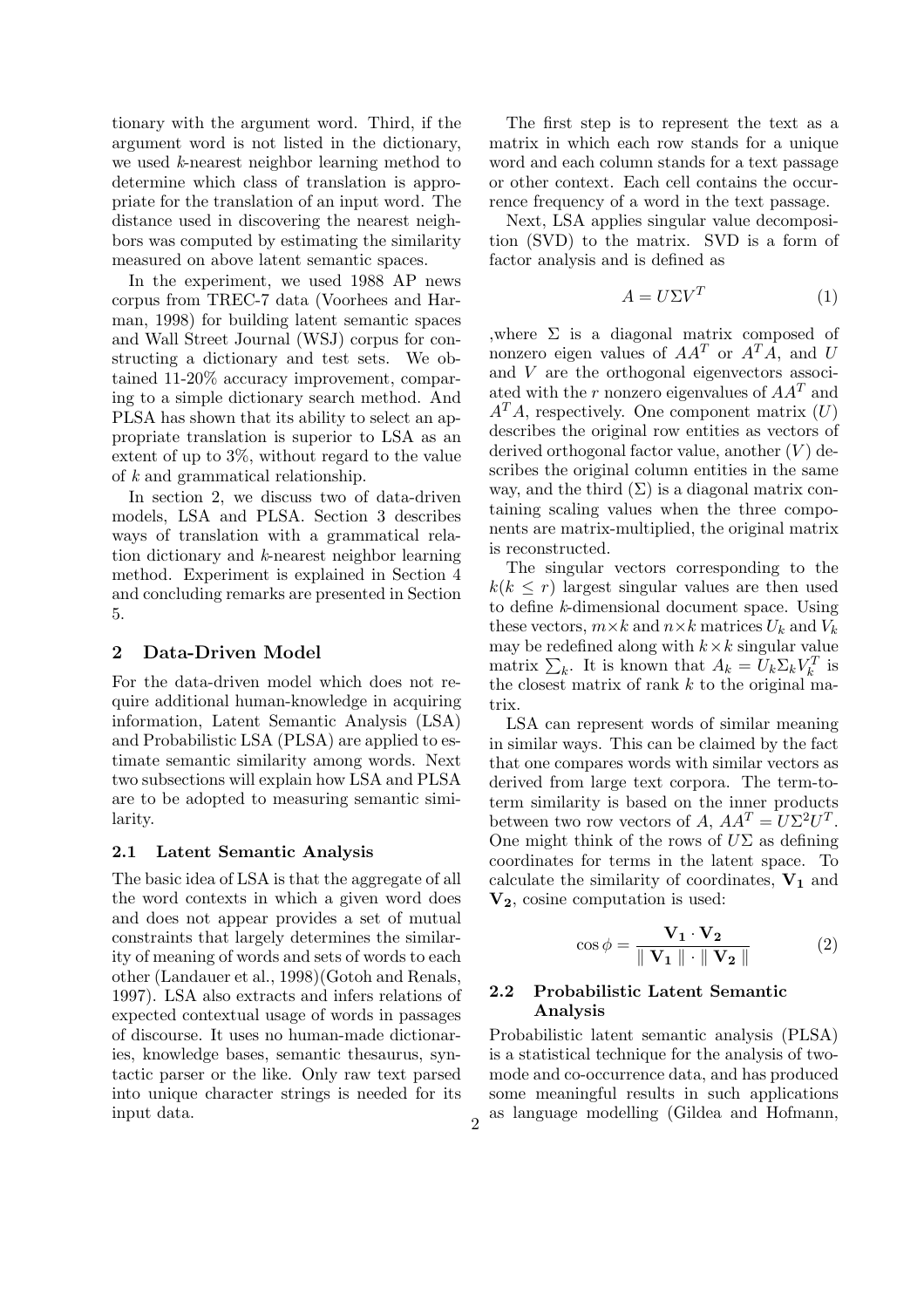tionary with the argument word. Third, if the argument word is not listed in the dictionary, we used *k*-nearest neighbor learning method to determine which class of translation is appropriate for the translation of an input word. The distance used in discovering the nearest neighbors was computed by estimating the similarity measured on above latent semantic spaces.

In the experiment, we used 1988 AP news corpus from TREC-7 data (Voorhees and Harman, 1998) for building latent semantic spaces and Wall Street Journal (WSJ) corpus for constructing a dictionary and test sets. We obtained 11-20% accuracy improvement, comparing to a simple dictionary search method. And PLSA has shown that its ability to select an appropriate translation is superior to LSA as an extent of up to 3%, without regard to the value of *k* and grammatical relationship.

In section 2, we discuss two of data-driven models, LSA and PLSA. Section 3 describes ways of translation with a grammatical relation dictionary and *k*-nearest neighbor learning method. Experiment is explained in Section 4 and concluding remarks are presented in Section 5.

#### **2 Data-Driven Model**

For the data-driven model which does not require additional human-knowledge in acquiring information, Latent Semantic Analysis (LSA) and Probabilistic LSA (PLSA) are applied to estimate semantic similarity among words. Next two subsections will explain how LSA and PLSA are to be adopted to measuring semantic similarity.

#### **2.1 Latent Semantic Analysis**

The basic idea of LSA is that the aggregate of all the word contexts in which a given word does and does not appear provides a set of mutual constraints that largely determines the similarity of meaning of words and sets of words to each other (Landauer et al., 1998)(Gotoh and Renals, 1997). LSA also extracts and infers relations of expected contextual usage of words in passages of discourse. It uses no human-made dictionaries, knowledge bases, semantic thesaurus, syntactic parser or the like. Only raw text parsed into unique character strings is needed for its input data.

The first step is to represent the text as a matrix in which each row stands for a unique word and each column stands for a text passage or other context. Each cell contains the occurrence frequency of a word in the text passage.

Next, LSA applies singular value decomposition (SVD) to the matrix. SVD is a form of factor analysis and is defined as

$$
A = U\Sigma V^T \tag{1}
$$

,where  $\Sigma$  is a diagonal matrix composed of nonzero eigen values of  $AA^T$  or  $A^T A$ , and U and V are the orthogonal eigenvectors associated with the r nonzero eigenvalues of  $AA<sup>T</sup>$  and  $A<sup>T</sup>A$ , respectively. One component matrix  $(U)$ describes the original row entities as vectors of derived orthogonal factor value, another  $(V)$  describes the original column entities in the same way, and the third  $(\Sigma)$  is a diagonal matrix containing scaling values when the three components are matrix-multiplied, the original matrix is reconstructed.

The singular vectors corresponding to the  $k(k \leq r)$  largest singular values are then used to define *k*-dimensional document space. Using these vectors,  $m \times k$  and  $n \times k$  matrices  $U_k$  and  $V_k$ may be redefined along with  $k \times k$  singular value matrix  $\sum_{k}$ . It is known that  $A_k = U_k \Sigma_k V_k^T$  is the closest matrix of rank  $k$  to the original matrix.

LSA can represent words of similar meaning in similar ways. This can be claimed by the fact that one compares words with similar vectors as derived from large text corpora. The term-toterm similarity is based on the inner products between two row vectors of A,  $AA^T = U\Sigma^2 U^T$ . One might think of the rows of  $U\Sigma$  as defining coordinates for terms in the latent space. To calculate the similarity of coordinates, **V<sup>1</sup>** and **V2**, cosine computation is used:

$$
\cos \phi = \frac{\mathbf{V}_1 \cdot \mathbf{V}_2}{\parallel \mathbf{V}_1 \parallel \cdot \parallel \mathbf{V}_2 \parallel} \tag{2}
$$

### **2.2 Probabilistic Latent Semantic Analysis**

Probabilistic latent semantic analysis (PLSA) is a statistical technique for the analysis of twomode and co-occurrence data, and has produced some meaningful results in such applications  $\sigma$  as language modelling (Gildea and Hofmann,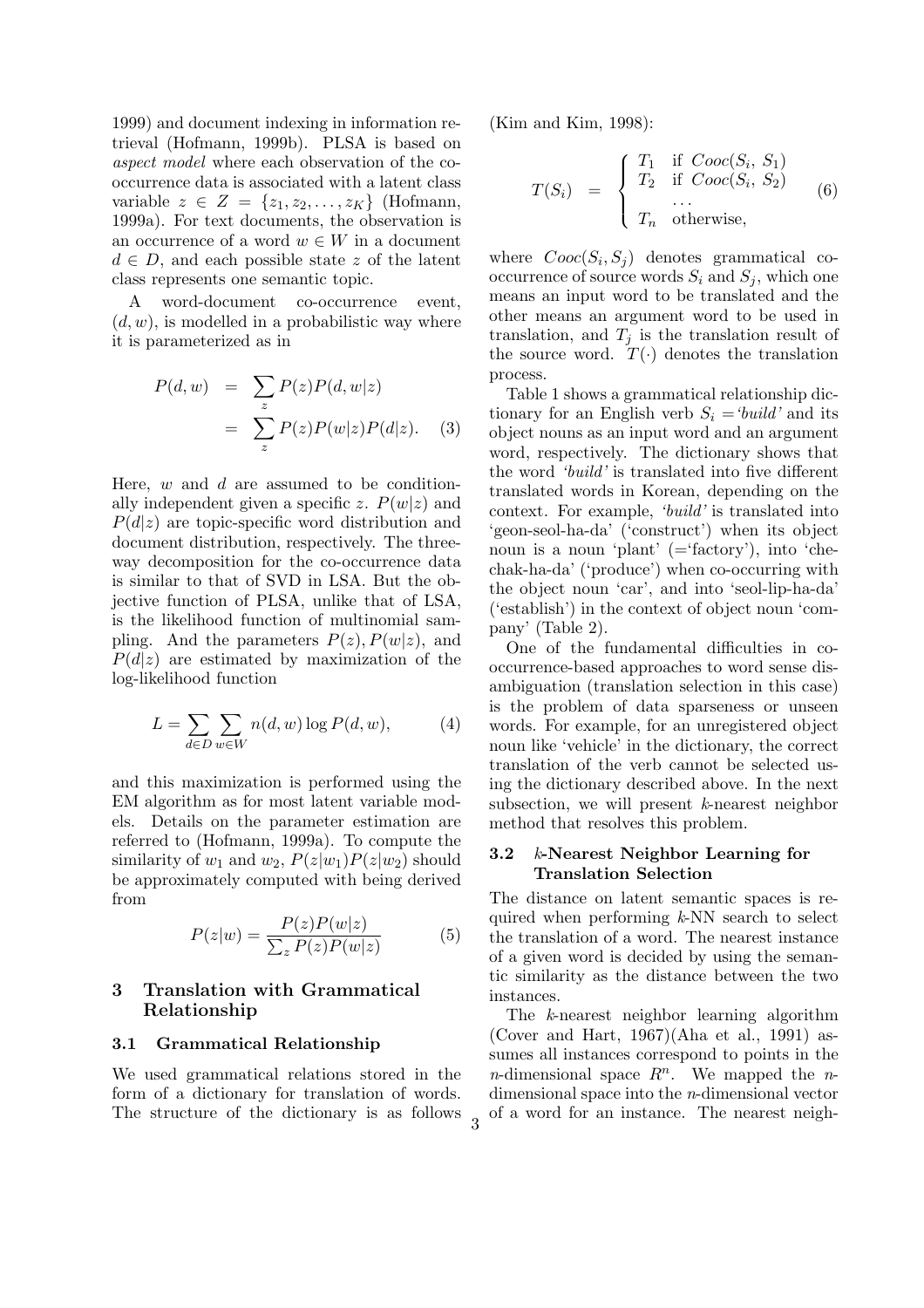1999) and document indexing in information retrieval (Hofmann, 1999b). PLSA is based on *aspect model* where each observation of the cooccurrence data is associated with a latent class variable  $z \in Z = \{z_1, z_2, \ldots, z_K\}$  (Hofmann, 1999a). For text documents, the observation is an occurrence of a word  $w \in W$  in a document  $d \in D$ , and each possible state z of the latent class represents one semantic topic.

A word-document co-occurrence event,  $(d, w)$ , is modelled in a probabilistic way where it is parameterized as in

$$
P(d, w) = \sum_{z} P(z)P(d, w|z)
$$
  
= 
$$
\sum_{z} P(z)P(w|z)P(d|z). \quad (3)
$$

Here,  $w$  and  $d$  are assumed to be conditionally independent given a specific z.  $P(w|z)$  and  $P(d|z)$  are topic-specific word distribution and document distribution, respectively. The threeway decomposition for the co-occurrence data is similar to that of SVD in LSA. But the objective function of PLSA, unlike that of LSA, is the likelihood function of multinomial sampling. And the parameters  $P(z)$ ,  $P(w|z)$ , and  $P(d|z)$  are estimated by maximization of the log-likelihood function

$$
L = \sum_{d \in D} \sum_{w \in W} n(d, w) \log P(d, w), \tag{4}
$$

and this maximization is performed using the EM algorithm as for most latent variable models. Details on the parameter estimation are referred to (Hofmann, 1999a). To compute the similarity of  $w_1$  and  $w_2$ ,  $P(z|w_1)P(z|w_2)$  should be approximately computed with being derived from

$$
P(z|w) = \frac{P(z)P(w|z)}{\sum_{z} P(z)P(w|z)}\tag{5}
$$

## **3 Translation with Grammatical Relationship**

#### **3.1 Grammatical Relationship**

We used grammatical relations stored in the form of a dictionary for translation of words. The structure of the dictionary is as follows (Kim and Kim, 1998):

$$
T(S_i) = \begin{cases} T_1 & \text{if } Cooc(S_i, S_1) \\ T_2 & \text{if } Cooc(S_i, S_2) \\ \dots \\ T_n & \text{otherwise,} \end{cases}
$$
 (6)

where  $Cooc(S_i, S_j)$  denotes grammatical cooccurrence of source words  $S_i$  and  $S_j$ , which one means an input word to be translated and the other means an argument word to be used in translation, and  $T_j$  is the translation result of the source word.  $T(\cdot)$  denotes the translation process.

Table 1 shows a grammatical relationship dictionary for an English verb  $S_i = 'build'$  and its object nouns as an input word and an argument word, respectively. The dictionary shows that the word *'build'* is translated into five different translated words in Korean, depending on the context. For example, *'build'* is translated into 'geon-seol-ha-da' ('construct') when its object noun is a noun 'plant' (='factory'), into 'chechak-ha-da' ('produce') when co-occurring with the object noun 'car', and into 'seol-lip-ha-da' ('establish') in the context of object noun 'company' (Table 2).

One of the fundamental difficulties in cooccurrence-based approaches to word sense disambiguation (translation selection in this case) is the problem of data sparseness or unseen words. For example, for an unregistered object noun like 'vehicle' in the dictionary, the correct translation of the verb cannot be selected using the dictionary described above. In the next subsection, we will present *k*-nearest neighbor method that resolves this problem.

#### **3.2** *k***-Nearest Neighbor Learning for Translation Selection**

The distance on latent semantic spaces is required when performing *k*-NN search to select the translation of a word. The nearest instance of a given word is decided by using the semantic similarity as the distance between the two instances.

The *k*-nearest neighbor learning algorithm (Cover and Hart, 1967)(Aha et al., 1991) assumes all instances correspond to points in the *n*-dimensional space  $R^n$ . We mapped the *n*dimensional space into the *n*-dimensional vector of a word for an instance. The nearest neigh-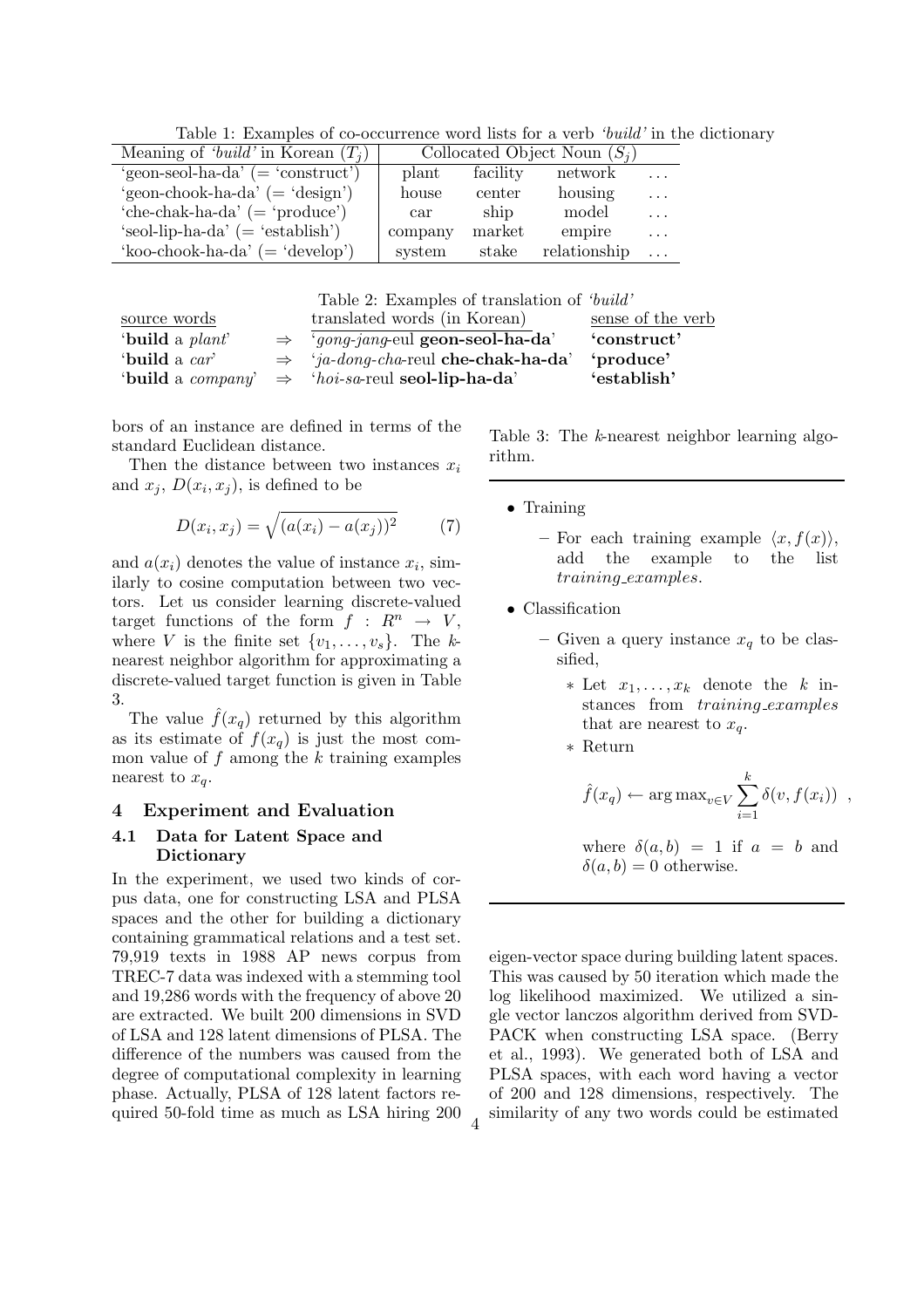Table 1: Examples of co-occurrence word lists for a verb *'build'* in the dictionary

| Meaning of 'build' in Korean $(T_i)$  |                      |          | Collocated Object Noun $(S_i)$ |          |
|---------------------------------------|----------------------|----------|--------------------------------|----------|
| 'geon-seol-ha-da' $($ = 'construct')  | plant                | facility | network                        | $\cdot$  |
| 'geon-chook-ha-da' $($ = 'design' $)$ | house                | center   | housing                        | $\cdot$  |
| 'che-chak-ha-da' $($ = 'produce' $)$  | $\operatorname{car}$ | ship     | model                          | $\cdot$  |
| 'seol-lip-ha-da' $($ = 'establish')   | company              | market   | empire                         | $\cdots$ |
| 'koo-chook-ha-da' $($ = 'develop' $)$ | system               | stake    | relationship                   | $\ddots$ |

Table 2: Examples of translation of *'build'*

| source words            | translated words (in Korean)                                                | sense of the verb |
|-------------------------|-----------------------------------------------------------------------------|-------------------|
| 'build a <i>plant</i> ' | $\Rightarrow$ 'gong-jang-eul geon-seol-ha-da'                               | 'construct'       |
| 'build a car'           | $\Rightarrow$ 'ja-dong-cha-reul che-chak-ha-da'                             | 'produce'         |
|                         | 'build a <i>company</i> ' $\Rightarrow$ 'hoi-sa-reul <b>seol-lip-ha-da'</b> | 'establish'       |

bors of an instance are defined in terms of the standard Euclidean distance.

Then the distance between two instances  $x_i$ and  $x_i$ ,  $D(x_i, x_j)$ , is defined to be

$$
D(x_i, x_j) = \sqrt{(a(x_i) - a(x_j))^2}
$$
 (7)

and  $a(x_i)$  denotes the value of instance  $x_i$ , similarly to cosine computation between two vectors. Let us consider learning discrete-valued target functions of the form  $f : R^n \to V$ , where V is the finite set  $\{v_1,\ldots,v_s\}$ . The *k*nearest neighbor algorithm for approximating a discrete-valued target function is given in Table 3.

The value  $f(x_q)$  returned by this algorithm as its estimate of  $f(x_q)$  is just the most common value of f among the  $k$  training examples nearest to  $x_q$ .

#### **4 Experiment and Evaluation**

#### **4.1 Data for Latent Space and Dictionary**

In the experiment, we used two kinds of corpus data, one for constructing LSA and PLSA spaces and the other for building a dictionary containing grammatical relations and a test set. 79,919 texts in 1988 AP news corpus from TREC-7 data was indexed with a stemming tool and 19,286 words with the frequency of above 20 are extracted. We built 200 dimensions in SVD of LSA and 128 latent dimensions of PLSA. The difference of the numbers was caused from the degree of computational complexity in learning phase. Actually, PLSA of 128 latent factors required 50-fold time as much as LSA hiring 200 Table 3: The *k*-nearest neighbor learning algorithm.

- Training
	- $-$  For each training example  $\langle x, f(x) \rangle$ , add the example to the list training examples.
- Classification
	- Given a query instance  $x_q$  to be classified,
		- $*$  Let  $x_1, \ldots, x_k$  denote the *k* instances from training examples that are nearest to  $x_a$ .
		- ∗ Return

$$
\hat{f}(x_q) \leftarrow \arg \max_{v \in V} \sum_{i=1}^k \delta(v, f(x_i))
$$
,

where  $\delta(a, b) = 1$  if  $a = b$  and  $\delta(a, b) = 0$  otherwise.

eigen-vector space during building latent spaces. This was caused by 50 iteration which made the log likelihood maximized. We utilized a single vector lanczos algorithm derived from SVD-PACK when constructing LSA space. (Berry et al., 1993). We generated both of LSA and PLSA spaces, with each word having a vector of 200 and 128 dimensions, respectively. The similarity of any two words could be estimated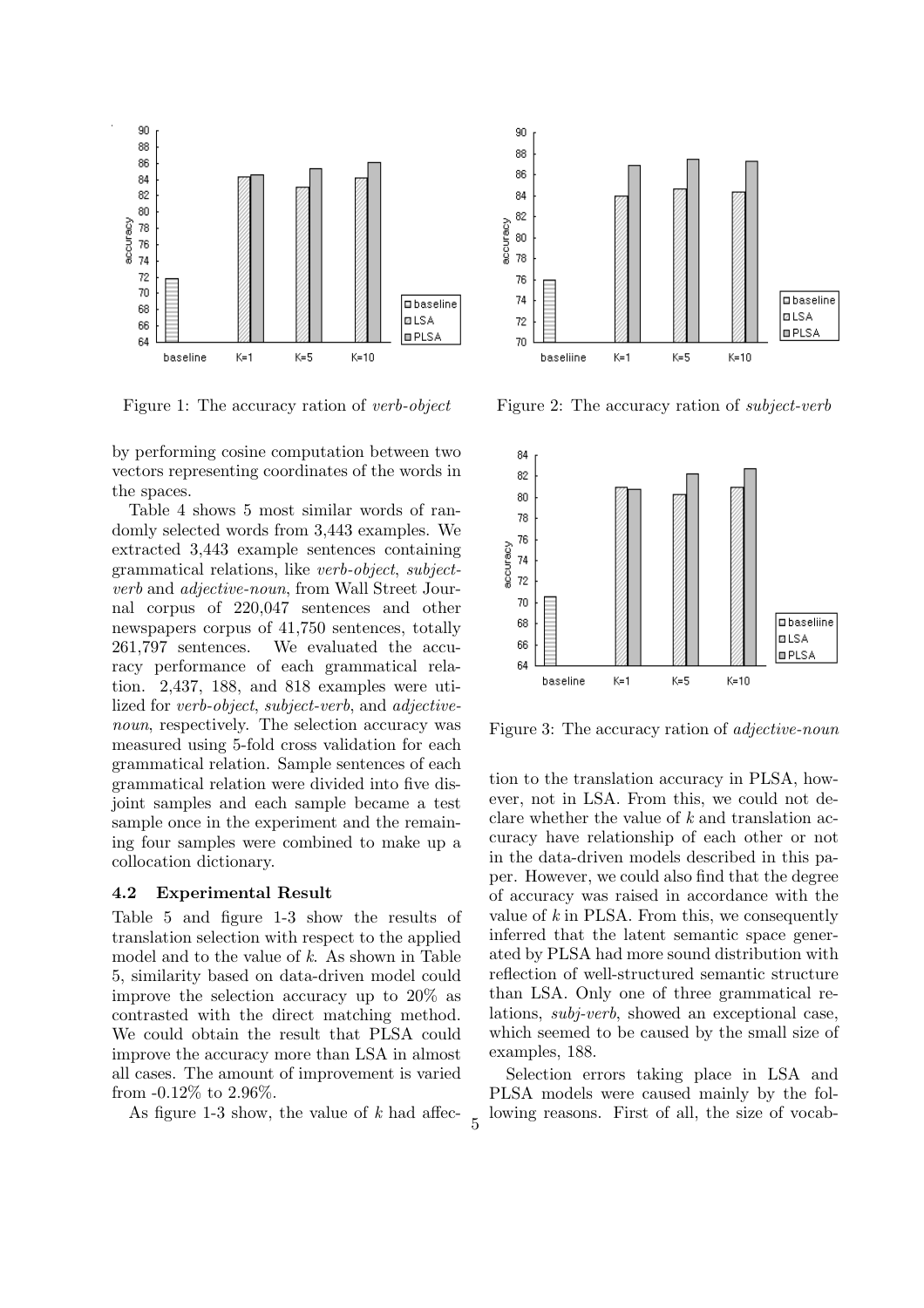

Figure 1: The accuracy ration of *verb-object*

by performing cosine computation between two vectors representing coordinates of the words in the spaces.

Table 4 shows 5 most similar words of randomly selected words from 3,443 examples. We extracted 3,443 example sentences containing grammatical relations, like *verb-object*, *subjectverb* and *adjective-noun*, from Wall Street Journal corpus of 220,047 sentences and other newspapers corpus of 41,750 sentences, totally 261,797 sentences. We evaluated the accuracy performance of each grammatical relation. 2,437, 188, and 818 examples were utilized for *verb-object*, *subject-verb*, and *adjectivenoun*, respectively. The selection accuracy was measured using 5-fold cross validation for each grammatical relation. Sample sentences of each grammatical relation were divided into five disjoint samples and each sample became a test sample once in the experiment and the remaining four samples were combined to make up a collocation dictionary.

#### **4.2 Experimental Result**

Table 5 and figure 1-3 show the results of translation selection with respect to the applied model and to the value of *k*. As shown in Table 5, similarity based on data-driven model could improve the selection accuracy up to 20% as contrasted with the direct matching method. We could obtain the result that PLSA could improve the accuracy more than LSA in almost all cases. The amount of improvement is varied from -0.12% to 2.96%.

As figure 1-3 show, the value of *k* had affec-



Figure 2: The accuracy ration of *subject-verb*



Figure 3: The accuracy ration of *adjective-noun*

tion to the translation accuracy in PLSA, however, not in LSA. From this, we could not declare whether the value of *k* and translation accuracy have relationship of each other or not in the data-driven models described in this paper. However, we could also find that the degree of accuracy was raised in accordance with the value of *k* in PLSA. From this, we consequently inferred that the latent semantic space generated by PLSA had more sound distribution with reflection of well-structured semantic structure than LSA. Only one of three grammatical relations, *subj-verb*, showed an exceptional case, which seemed to be caused by the small size of examples, 188.

Selection errors taking place in LSA and PLSA models were caused mainly by the following reasons. First of all, the size of vocab-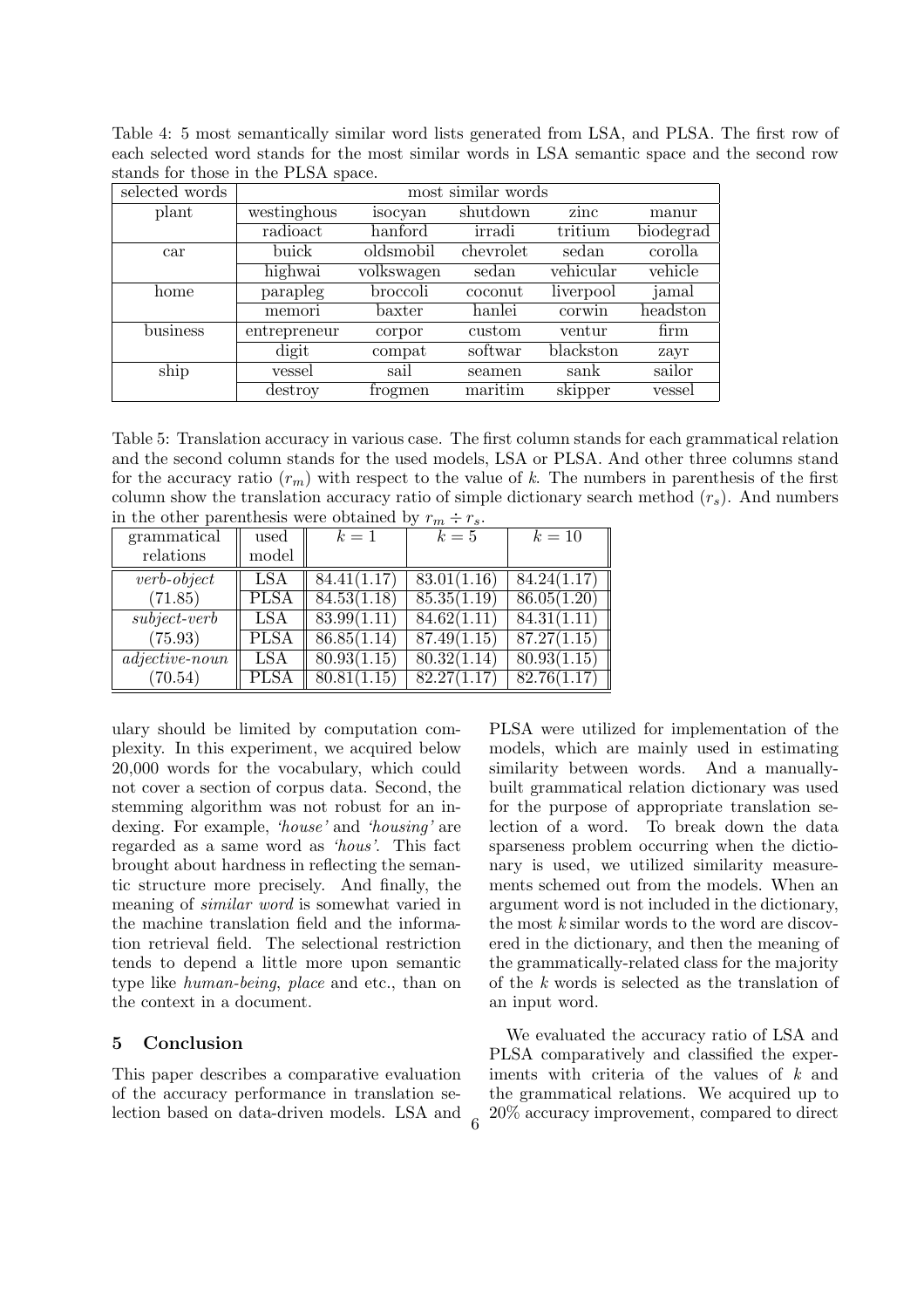Table 4: 5 most semantically similar word lists generated from LSA, and PLSA. The first row of each selected word stands for the most similar words in LSA semantic space and the second row stands for those in the PLSA space.

| selected words | most similar words |            |           |           |           |
|----------------|--------------------|------------|-----------|-----------|-----------|
| plant          | westinghous        | isocyan    | shutdown  | zinc      | manur     |
|                | radioact           | hanford    | irradi    | tritium   | biodegrad |
| car            | buick              | oldsmobil  | chevrolet | sedan     | corolla   |
|                | highwai            | volkswagen | sedan     | vehicular | vehicle   |
| home           | parapleg           | broccoli   | coconut   | liverpool | jamal     |
|                | memori             | baxter     | hanlei    | corwin    | headston  |
| business       | entrepreneur       | corpor     | custom    | ventur    | firm      |
|                | digit              | compat     | softwar   | blackston | zayr      |
| ship           | vessel             | sail       | seamen    | sank      | sailor    |
|                | destroy            | trogmen    | maritim   | skipper   | vessel    |

Table 5: Translation accuracy in various case. The first column stands for each grammatical relation and the second column stands for the used models, LSA or PLSA. And other three columns stand for the accuracy ratio  $(r_m)$  with respect to the value of k. The numbers in parenthesis of the first column show the translation accuracy ratio of simple dictionary search method  $(r<sub>s</sub>)$ . And numbers in the other parenthesis were obtained by  $r_m \div r_s$ .

| grammatical      | used        | $k=1$           | $k=5$       | $k=10$      |
|------------------|-------------|-----------------|-------------|-------------|
| relations        | model       |                 |             |             |
| $verb\-object$   | LSA         | 84.41(1.17)     | 83.01(1.16) | 84.24(1.17) |
| (71.85)          | <b>PLSA</b> | 84.53(1.18)     | 85.35(1.19) | 86.05(1.20) |
| $subject-verb$   | LSA         | 83.99(1.11)     | 84.62(1.11) | 84.31(1.11) |
| (75.93)          | <b>PLSA</b> | 86.85(1.14)     | 87.49(1.15) | 87.27(1.15) |
| $adjective-noun$ | LSA         | 80.93(1.15)     | 80.32(1.14) | 80.93(1.15) |
| (70.54)          | PLSA        | 80.81<br>(1.15) | 82.27(1.17) | 82.76(1.17) |

ulary should be limited by computation complexity. In this experiment, we acquired below 20,000 words for the vocabulary, which could not cover a section of corpus data. Second, the stemming algorithm was not robust for an indexing. For example, *'house'* and *'housing'* are regarded as a same word as *'hous'*. This fact brought about hardness in reflecting the semantic structure more precisely. And finally, the meaning of *similar word* is somewhat varied in the machine translation field and the information retrieval field. The selectional restriction tends to depend a little more upon semantic type like *human-being*, *place* and etc., than on the context in a document.

#### **5 Conclusion**

This paper describes a comparative evaluation of the accuracy performance in translation selection based on data-driven models. LSA and PLSA were utilized for implementation of the models, which are mainly used in estimating similarity between words. And a manuallybuilt grammatical relation dictionary was used for the purpose of appropriate translation selection of a word. To break down the data sparseness problem occurring when the dictionary is used, we utilized similarity measurements schemed out from the models. When an argument word is not included in the dictionary, the most *k* similar words to the word are discovered in the dictionary, and then the meaning of the grammatically-related class for the majority of the *k* words is selected as the translation of an input word.

We evaluated the accuracy ratio of LSA and PLSA comparatively and classified the experiments with criteria of the values of *k* and the grammatical relations. We acquired up to 20% accuracy improvement, compared to direct <sup>6</sup>